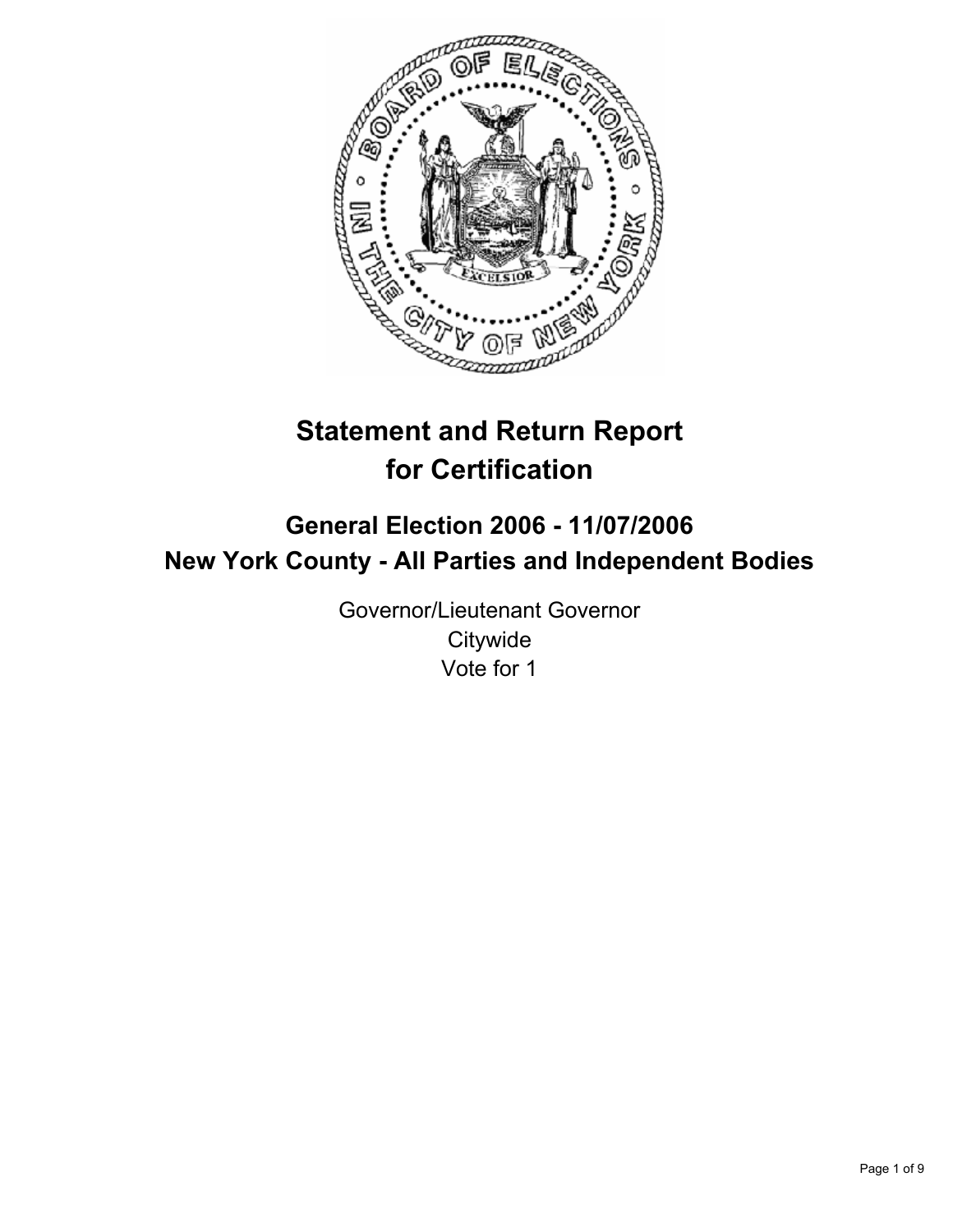

# **Statement and Return Report for Certification**

## **General Election 2006 - 11/07/2006 New York County - All Parties and Independent Bodies**

Governor/Lieutenant Governor **Citywide** Vote for 1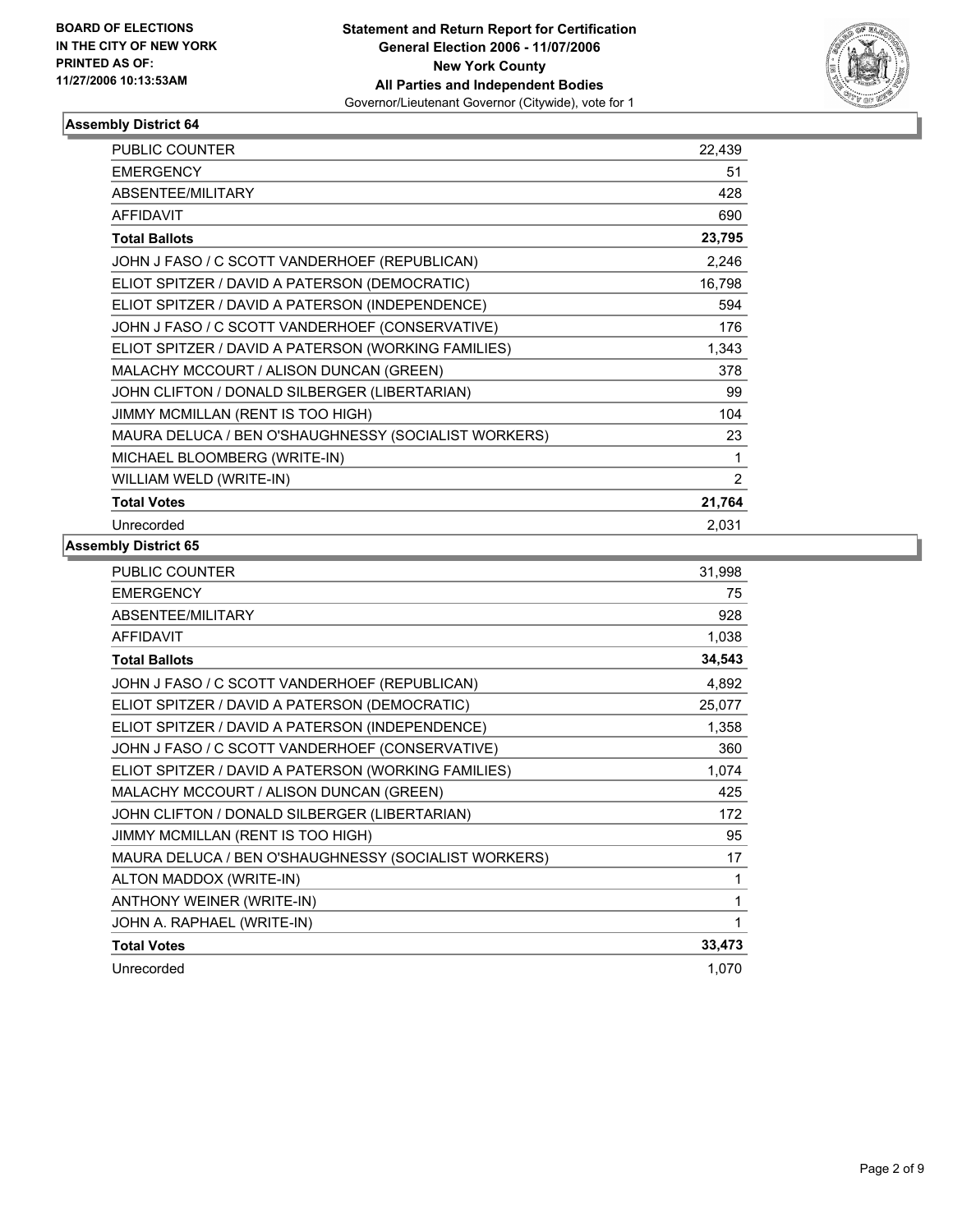

| PUBLIC COUNTER                                       | 22,439         |
|------------------------------------------------------|----------------|
| <b>EMERGENCY</b>                                     | 51             |
| ABSENTEE/MILITARY                                    | 428            |
| <b>AFFIDAVIT</b>                                     | 690            |
| <b>Total Ballots</b>                                 | 23,795         |
| JOHN J FASO / C SCOTT VANDERHOEF (REPUBLICAN)        | 2,246          |
| ELIOT SPITZER / DAVID A PATERSON (DEMOCRATIC)        | 16,798         |
| ELIOT SPITZER / DAVID A PATERSON (INDEPENDENCE)      | 594            |
| JOHN J FASO / C SCOTT VANDERHOEF (CONSERVATIVE)      | 176            |
| ELIOT SPITZER / DAVID A PATERSON (WORKING FAMILIES)  | 1,343          |
| MALACHY MCCOURT / ALISON DUNCAN (GREEN)              | 378            |
| JOHN CLIFTON / DONALD SILBERGER (LIBERTARIAN)        | 99             |
| JIMMY MCMILLAN (RENT IS TOO HIGH)                    | 104            |
| MAURA DELUCA / BEN O'SHAUGHNESSY (SOCIALIST WORKERS) | 23             |
| MICHAEL BLOOMBERG (WRITE-IN)                         |                |
| WILLIAM WELD (WRITE-IN)                              | $\overline{2}$ |
| <b>Total Votes</b>                                   | 21,764         |
| Unrecorded                                           | 2,031          |

| <b>PUBLIC COUNTER</b>                                | 31,998 |
|------------------------------------------------------|--------|
| <b>EMERGENCY</b>                                     | 75     |
| ABSENTEE/MILITARY                                    | 928    |
| <b>AFFIDAVIT</b>                                     | 1,038  |
| <b>Total Ballots</b>                                 | 34,543 |
| JOHN J FASO / C SCOTT VANDERHOEF (REPUBLICAN)        | 4,892  |
| ELIOT SPITZER / DAVID A PATERSON (DEMOCRATIC)        | 25,077 |
| ELIOT SPITZER / DAVID A PATERSON (INDEPENDENCE)      | 1,358  |
| JOHN J FASO / C SCOTT VANDERHOEF (CONSERVATIVE)      | 360    |
| ELIOT SPITZER / DAVID A PATERSON (WORKING FAMILIES)  | 1,074  |
| MALACHY MCCOURT / ALISON DUNCAN (GREEN)              | 425    |
| JOHN CLIFTON / DONALD SILBERGER (LIBERTARIAN)        | 172    |
| JIMMY MCMILLAN (RENT IS TOO HIGH)                    | 95     |
| MAURA DELUCA / BEN O'SHAUGHNESSY (SOCIALIST WORKERS) | 17     |
| ALTON MADDOX (WRITE-IN)                              | 1      |
| ANTHONY WEINER (WRITE-IN)                            |        |
| JOHN A. RAPHAEL (WRITE-IN)                           |        |
| <b>Total Votes</b>                                   | 33,473 |
| Unrecorded                                           | 1,070  |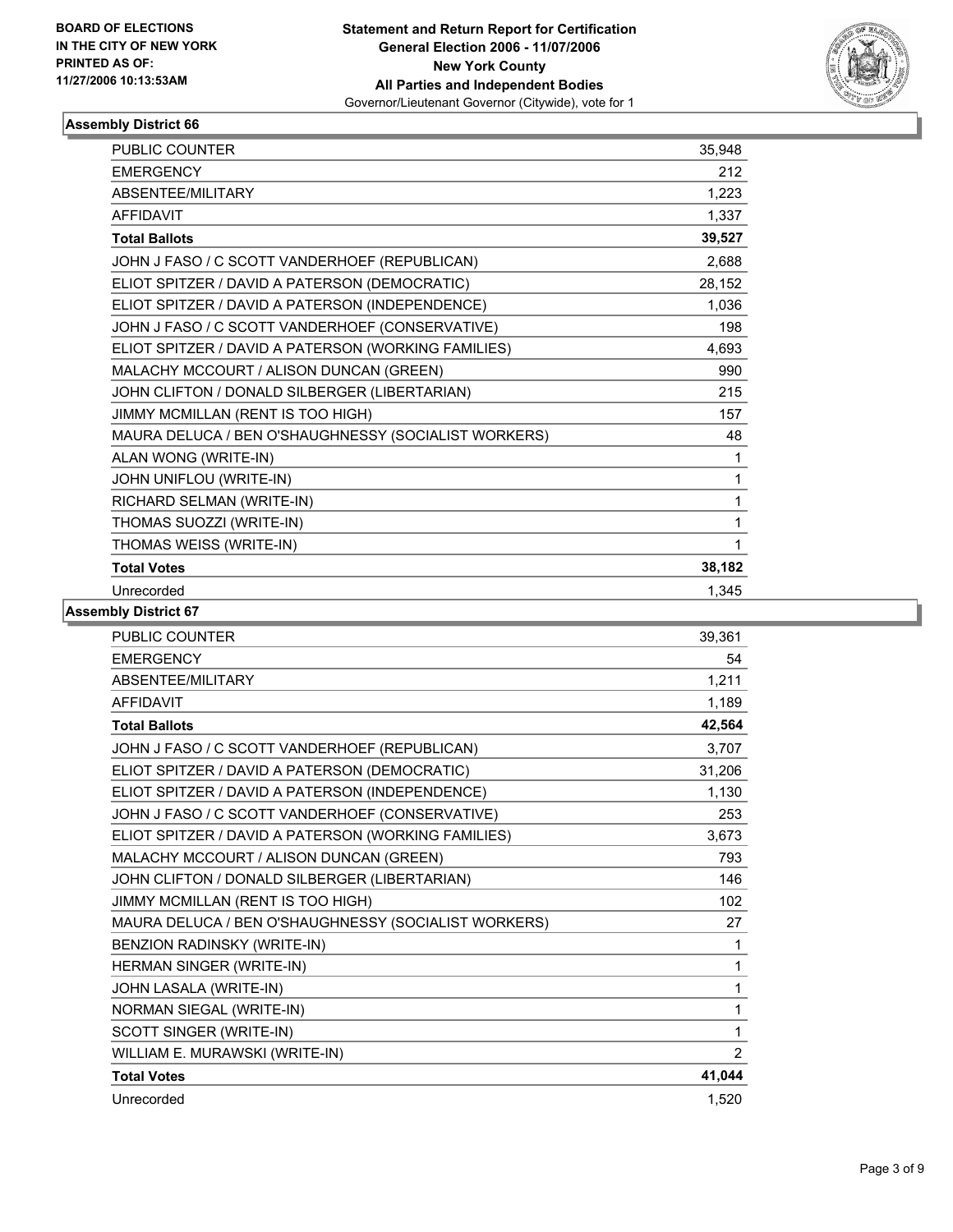

| <b>PUBLIC COUNTER</b>                                | 35,948 |
|------------------------------------------------------|--------|
| <b>EMERGENCY</b>                                     | 212    |
| ABSENTEE/MILITARY                                    | 1,223  |
| <b>AFFIDAVIT</b>                                     | 1,337  |
| <b>Total Ballots</b>                                 | 39,527 |
| JOHN J FASO / C SCOTT VANDERHOEF (REPUBLICAN)        | 2,688  |
| ELIOT SPITZER / DAVID A PATERSON (DEMOCRATIC)        | 28,152 |
| ELIOT SPITZER / DAVID A PATERSON (INDEPENDENCE)      | 1,036  |
| JOHN J FASO / C SCOTT VANDERHOEF (CONSERVATIVE)      | 198    |
| ELIOT SPITZER / DAVID A PATERSON (WORKING FAMILIES)  | 4,693  |
| MALACHY MCCOURT / ALISON DUNCAN (GREEN)              | 990    |
| JOHN CLIFTON / DONALD SILBERGER (LIBERTARIAN)        | 215    |
| JIMMY MCMILLAN (RENT IS TOO HIGH)                    | 157    |
| MAURA DELUCA / BEN O'SHAUGHNESSY (SOCIALIST WORKERS) | 48     |
| ALAN WONG (WRITE-IN)                                 | 1      |
| JOHN UNIFLOU (WRITE-IN)                              | 1      |
| RICHARD SELMAN (WRITE-IN)                            | 1      |
| THOMAS SUOZZI (WRITE-IN)                             | 1      |
| THOMAS WEISS (WRITE-IN)                              |        |
| <b>Total Votes</b>                                   | 38,182 |
| Unrecorded                                           | 1,345  |

| <b>PUBLIC COUNTER</b>                                | 39,361         |
|------------------------------------------------------|----------------|
| <b>EMERGENCY</b>                                     | 54             |
| <b>ABSENTEE/MILITARY</b>                             | 1,211          |
| <b>AFFIDAVIT</b>                                     | 1,189          |
| <b>Total Ballots</b>                                 | 42,564         |
| JOHN J FASO / C SCOTT VANDERHOEF (REPUBLICAN)        | 3,707          |
| ELIOT SPITZER / DAVID A PATERSON (DEMOCRATIC)        | 31,206         |
| ELIOT SPITZER / DAVID A PATERSON (INDEPENDENCE)      | 1,130          |
| JOHN J FASO / C SCOTT VANDERHOEF (CONSERVATIVE)      | 253            |
| ELIOT SPITZER / DAVID A PATERSON (WORKING FAMILIES)  | 3,673          |
| MALACHY MCCOURT / ALISON DUNCAN (GREEN)              | 793            |
| JOHN CLIFTON / DONALD SILBERGER (LIBERTARIAN)        | 146            |
| JIMMY MCMILLAN (RENT IS TOO HIGH)                    | 102            |
| MAURA DELUCA / BEN O'SHAUGHNESSY (SOCIALIST WORKERS) | 27             |
| BENZION RADINSKY (WRITE-IN)                          | 1              |
| HERMAN SINGER (WRITE-IN)                             | 1              |
| JOHN LASALA (WRITE-IN)                               | 1              |
| NORMAN SIEGAL (WRITE-IN)                             | 1              |
| SCOTT SINGER (WRITE-IN)                              | 1              |
| WILLIAM E. MURAWSKI (WRITE-IN)                       | $\overline{2}$ |
| <b>Total Votes</b>                                   | 41,044         |
| Unrecorded                                           | 1,520          |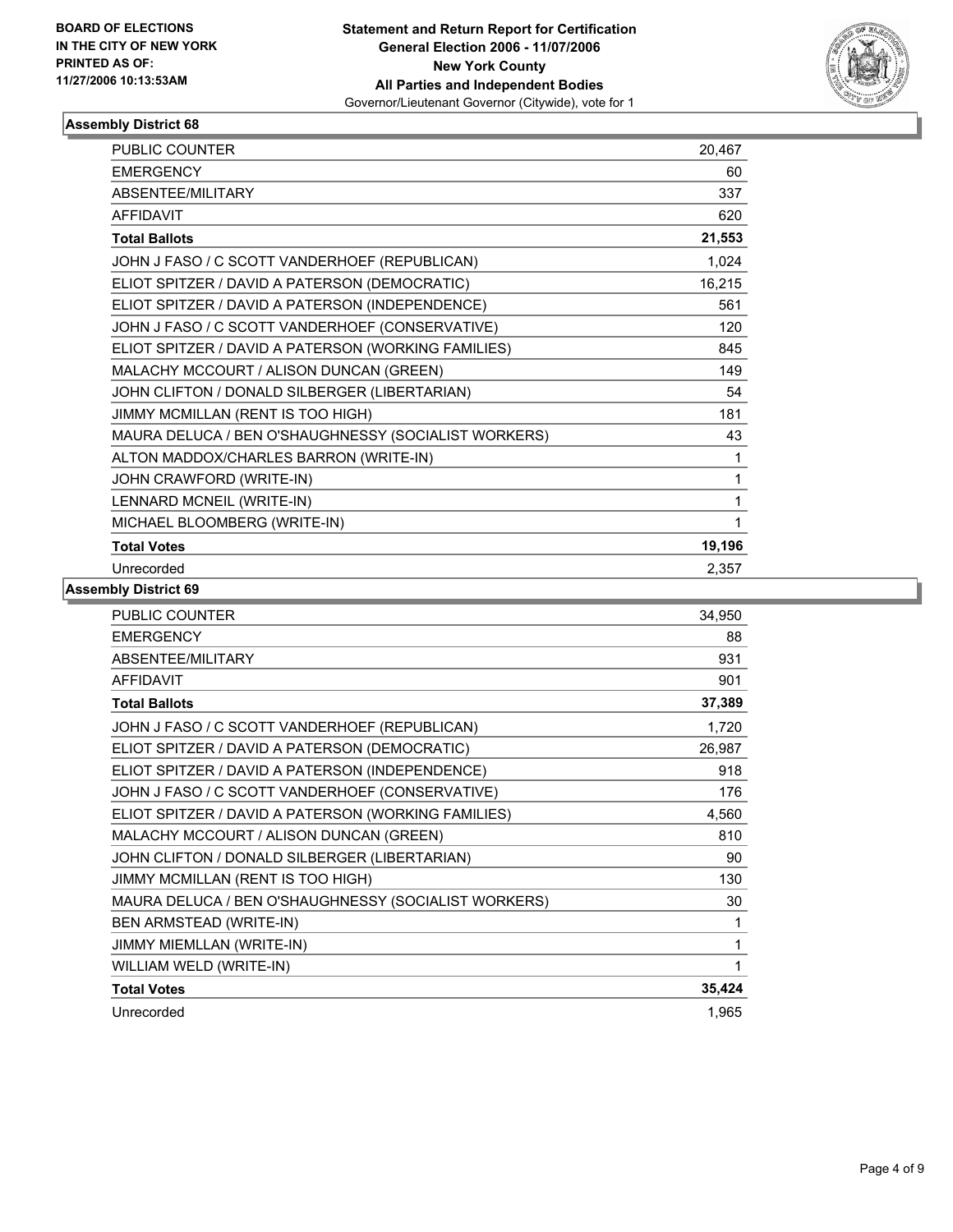

| PUBLIC COUNTER                                       | 20,467 |
|------------------------------------------------------|--------|
| <b>EMERGENCY</b>                                     | 60     |
| <b>ABSENTEE/MILITARY</b>                             | 337    |
| <b>AFFIDAVIT</b>                                     | 620    |
| <b>Total Ballots</b>                                 | 21,553 |
| JOHN J FASO / C SCOTT VANDERHOEF (REPUBLICAN)        | 1,024  |
| ELIOT SPITZER / DAVID A PATERSON (DEMOCRATIC)        | 16,215 |
| ELIOT SPITZER / DAVID A PATERSON (INDEPENDENCE)      | 561    |
| JOHN J FASO / C SCOTT VANDERHOEF (CONSERVATIVE)      | 120    |
| ELIOT SPITZER / DAVID A PATERSON (WORKING FAMILIES)  | 845    |
| MALACHY MCCOURT / ALISON DUNCAN (GREEN)              | 149    |
| JOHN CLIFTON / DONALD SILBERGER (LIBERTARIAN)        | 54     |
| JIMMY MCMILLAN (RENT IS TOO HIGH)                    | 181    |
| MAURA DELUCA / BEN O'SHAUGHNESSY (SOCIALIST WORKERS) | 43     |
| ALTON MADDOX/CHARLES BARRON (WRITE-IN)               | 1      |
| JOHN CRAWFORD (WRITE-IN)                             |        |
| LENNARD MCNEIL (WRITE-IN)                            |        |
| MICHAEL BLOOMBERG (WRITE-IN)                         |        |
| <b>Total Votes</b>                                   | 19,196 |
| Unrecorded                                           | 2,357  |

| <b>PUBLIC COUNTER</b><br>34,950                              |     |
|--------------------------------------------------------------|-----|
| <b>EMERGENCY</b>                                             | 88  |
| ABSENTEE/MILITARY                                            | 931 |
| <b>AFFIDAVIT</b>                                             | 901 |
| 37,389<br><b>Total Ballots</b>                               |     |
| JOHN J FASO / C SCOTT VANDERHOEF (REPUBLICAN)<br>1,720       |     |
| 26,987<br>ELIOT SPITZER / DAVID A PATERSON (DEMOCRATIC)      |     |
| ELIOT SPITZER / DAVID A PATERSON (INDEPENDENCE)              | 918 |
| JOHN J FASO / C SCOTT VANDERHOEF (CONSERVATIVE)              | 176 |
| ELIOT SPITZER / DAVID A PATERSON (WORKING FAMILIES)<br>4,560 |     |
| MALACHY MCCOURT / ALISON DUNCAN (GREEN)                      | 810 |
| JOHN CLIFTON / DONALD SILBERGER (LIBERTARIAN)                | 90  |
| JIMMY MCMILLAN (RENT IS TOO HIGH)                            | 130 |
| MAURA DELUCA / BEN O'SHAUGHNESSY (SOCIALIST WORKERS)         | 30  |
| BEN ARMSTEAD (WRITE-IN)                                      | 1   |
| JIMMY MIEMLLAN (WRITE-IN)                                    | 1   |
| WILLIAM WELD (WRITE-IN)                                      |     |
| 35,424<br><b>Total Votes</b>                                 |     |
| Unrecorded<br>1,965                                          |     |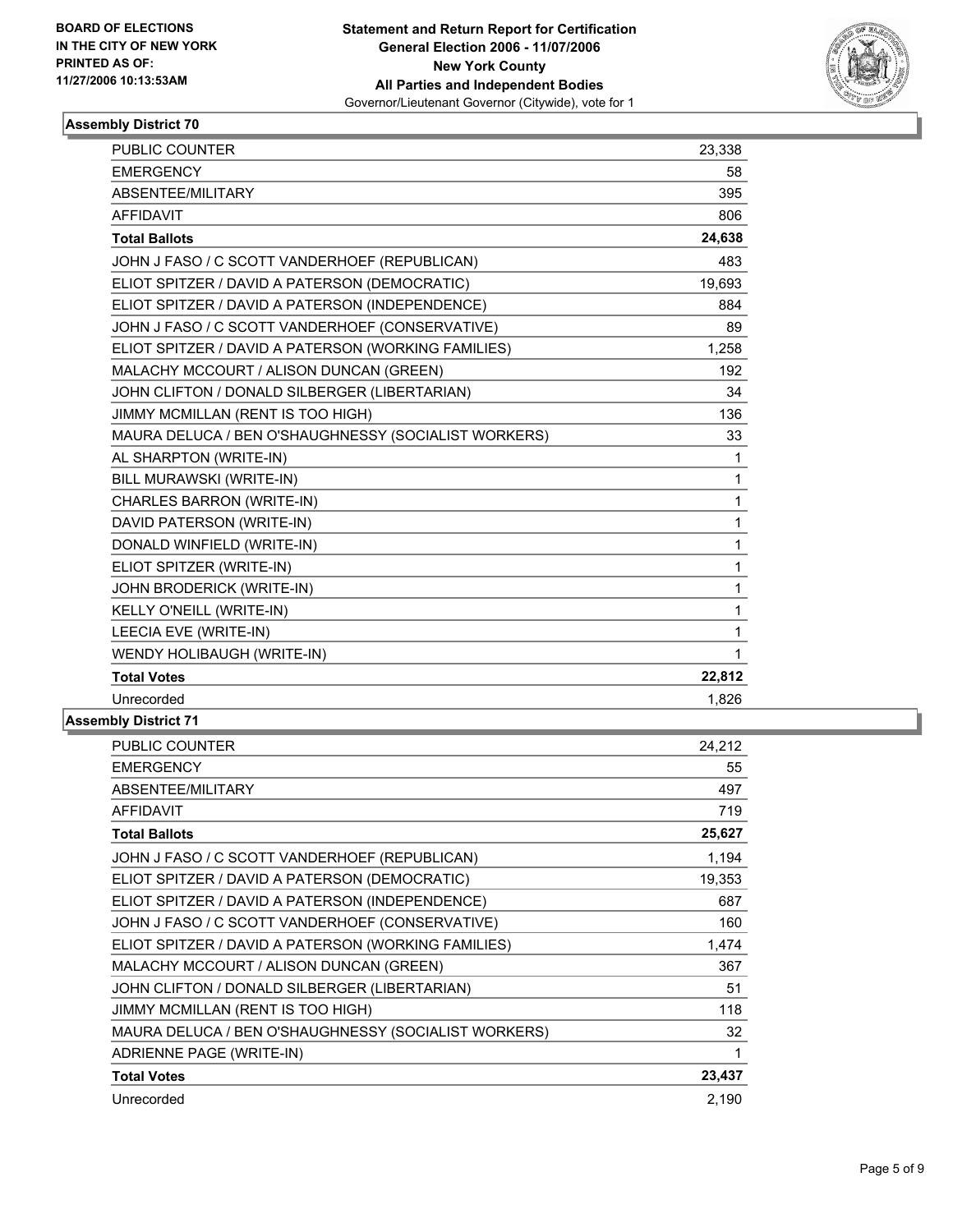

| 23,338 |
|--------|
| 58     |
| 395    |
| 806    |
| 24,638 |
| 483    |
| 19,693 |
| 884    |
| 89     |
| 1,258  |
| 192    |
| 34     |
| 136    |
| 33     |
| 1      |
| 1      |
| 1      |
| 1      |
| 1      |
| 1      |
| 1      |
| 1      |
| 1      |
| 1      |
| 22,812 |
| 1,826  |
|        |

| PUBLIC COUNTER                                       | 24,212 |
|------------------------------------------------------|--------|
| <b>EMERGENCY</b>                                     | 55     |
| ABSENTEE/MILITARY                                    | 497    |
| <b>AFFIDAVIT</b>                                     | 719    |
| <b>Total Ballots</b>                                 | 25,627 |
| JOHN J FASO / C SCOTT VANDERHOEF (REPUBLICAN)        | 1,194  |
| ELIOT SPITZER / DAVID A PATERSON (DEMOCRATIC)        | 19,353 |
| ELIOT SPITZER / DAVID A PATERSON (INDEPENDENCE)      | 687    |
| JOHN J FASO / C SCOTT VANDERHOEF (CONSERVATIVE)      | 160    |
| ELIOT SPITZER / DAVID A PATERSON (WORKING FAMILIES)  | 1,474  |
| MALACHY MCCOURT / ALISON DUNCAN (GREEN)              | 367    |
| JOHN CLIFTON / DONALD SILBERGER (LIBERTARIAN)        | 51     |
| JIMMY MCMILLAN (RENT IS TOO HIGH)                    | 118    |
| MAURA DELUCA / BEN O'SHAUGHNESSY (SOCIALIST WORKERS) | 32     |
| ADRIENNE PAGE (WRITE-IN)                             | 1      |
| <b>Total Votes</b>                                   | 23,437 |
| Unrecorded                                           | 2,190  |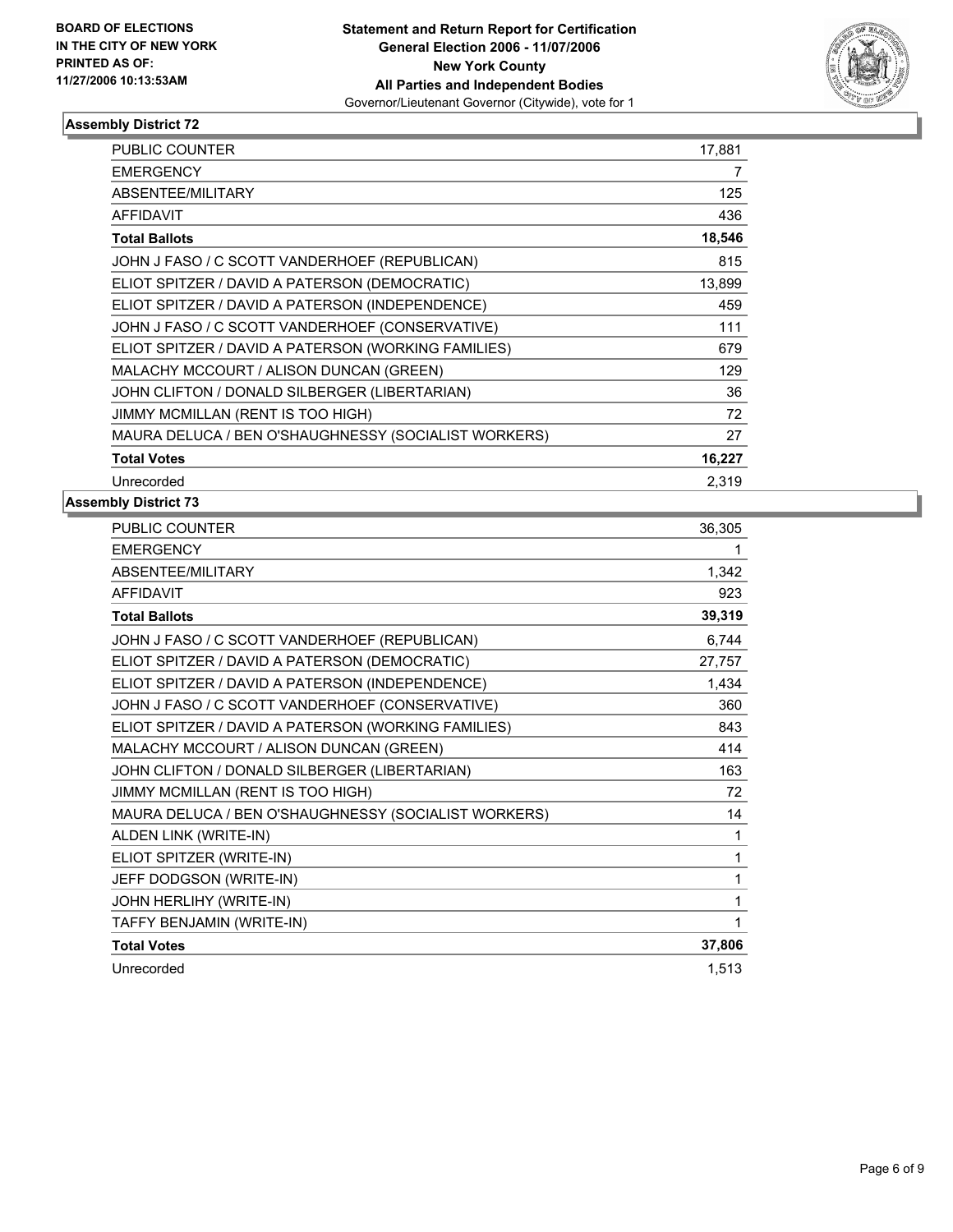

| <b>PUBLIC COUNTER</b>                                | 17,881 |
|------------------------------------------------------|--------|
| <b>EMERGENCY</b>                                     | 7      |
| ABSENTEE/MILITARY                                    | 125    |
| <b>AFFIDAVIT</b>                                     | 436    |
| <b>Total Ballots</b>                                 | 18,546 |
| JOHN J FASO / C SCOTT VANDERHOEF (REPUBLICAN)        | 815    |
| ELIOT SPITZER / DAVID A PATERSON (DEMOCRATIC)        | 13,899 |
| ELIOT SPITZER / DAVID A PATERSON (INDEPENDENCE)      | 459    |
| JOHN J FASO / C SCOTT VANDERHOEF (CONSERVATIVE)      | 111    |
| ELIOT SPITZER / DAVID A PATERSON (WORKING FAMILIES)  | 679    |
| MALACHY MCCOURT / ALISON DUNCAN (GREEN)              | 129    |
| JOHN CLIFTON / DONALD SILBERGER (LIBERTARIAN)        | 36     |
| JIMMY MCMILLAN (RENT IS TOO HIGH)                    | 72     |
| MAURA DELUCA / BEN O'SHAUGHNESSY (SOCIALIST WORKERS) | 27     |
| <b>Total Votes</b>                                   | 16,227 |
| Unrecorded                                           | 2.319  |

| <b>PUBLIC COUNTER</b>                                | 36,305 |
|------------------------------------------------------|--------|
| <b>EMERGENCY</b>                                     |        |
| ABSENTEE/MILITARY                                    | 1,342  |
| <b>AFFIDAVIT</b>                                     | 923    |
| <b>Total Ballots</b>                                 | 39,319 |
| JOHN J FASO / C SCOTT VANDERHOEF (REPUBLICAN)        | 6,744  |
| ELIOT SPITZER / DAVID A PATERSON (DEMOCRATIC)        | 27,757 |
| ELIOT SPITZER / DAVID A PATERSON (INDEPENDENCE)      | 1,434  |
| JOHN J FASO / C SCOTT VANDERHOEF (CONSERVATIVE)      | 360    |
| ELIOT SPITZER / DAVID A PATERSON (WORKING FAMILIES)  | 843    |
| MALACHY MCCOURT / ALISON DUNCAN (GREEN)              | 414    |
| JOHN CLIFTON / DONALD SILBERGER (LIBERTARIAN)        | 163    |
| JIMMY MCMILLAN (RENT IS TOO HIGH)                    | 72     |
| MAURA DELUCA / BEN O'SHAUGHNESSY (SOCIALIST WORKERS) | 14     |
| ALDEN LINK (WRITE-IN)                                | 1      |
| ELIOT SPITZER (WRITE-IN)                             | 1      |
| JEFF DODGSON (WRITE-IN)                              |        |
| JOHN HERLIHY (WRITE-IN)                              |        |
| TAFFY BENJAMIN (WRITE-IN)                            |        |
| <b>Total Votes</b>                                   | 37,806 |
| Unrecorded                                           | 1,513  |
|                                                      |        |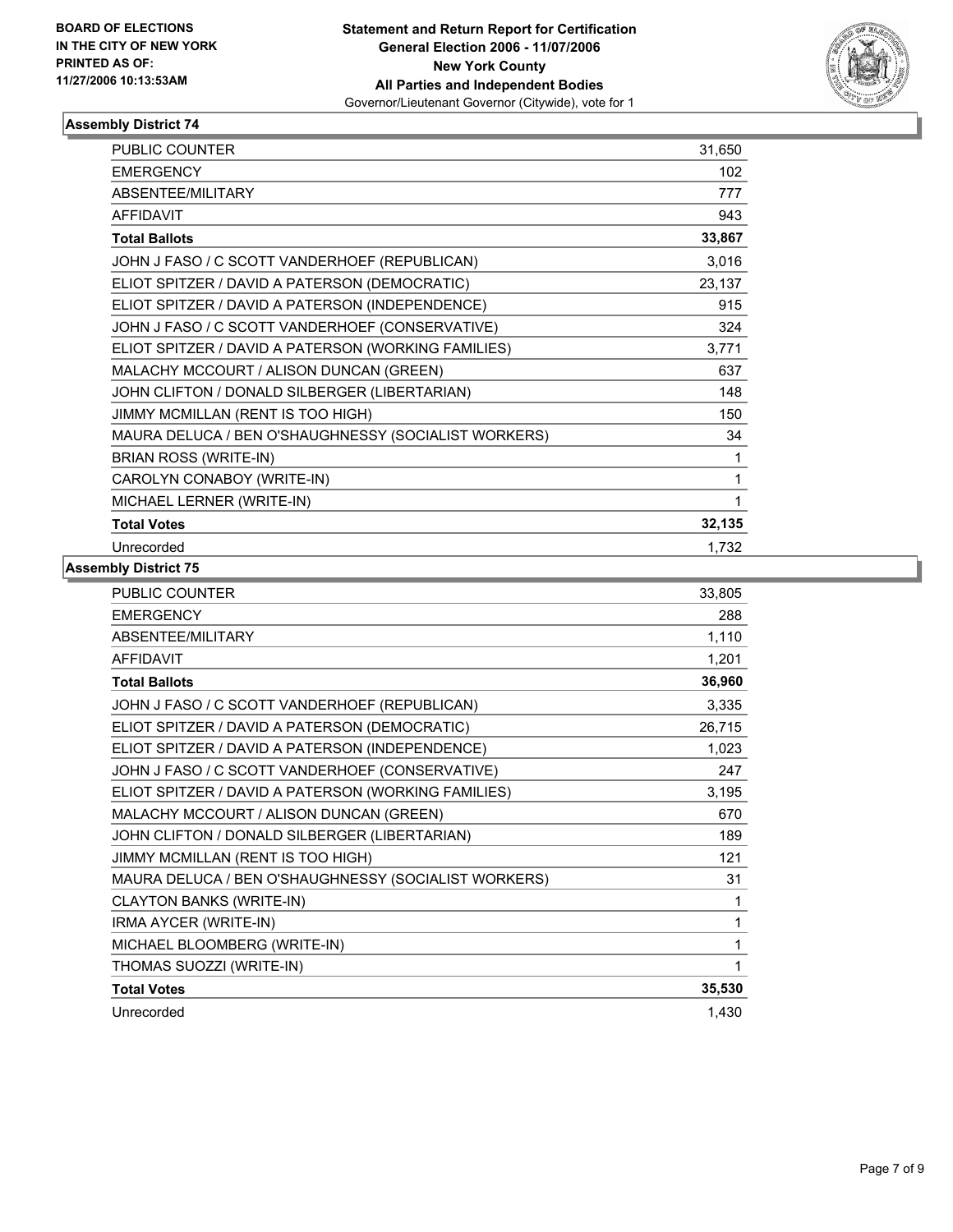

| <b>PUBLIC COUNTER</b>                                | 31,650 |
|------------------------------------------------------|--------|
| <b>EMERGENCY</b>                                     | 102    |
| ABSENTEE/MILITARY                                    | 777    |
| <b>AFFIDAVIT</b>                                     | 943    |
| <b>Total Ballots</b>                                 | 33,867 |
| JOHN J FASO / C SCOTT VANDERHOEF (REPUBLICAN)        | 3,016  |
| ELIOT SPITZER / DAVID A PATERSON (DEMOCRATIC)        | 23,137 |
| ELIOT SPITZER / DAVID A PATERSON (INDEPENDENCE)      | 915    |
| JOHN J FASO / C SCOTT VANDERHOEF (CONSERVATIVE)      | 324    |
| ELIOT SPITZER / DAVID A PATERSON (WORKING FAMILIES)  | 3,771  |
| MALACHY MCCOURT / ALISON DUNCAN (GREEN)              | 637    |
| JOHN CLIFTON / DONALD SILBERGER (LIBERTARIAN)        | 148    |
| JIMMY MCMILLAN (RENT IS TOO HIGH)                    | 150    |
| MAURA DELUCA / BEN O'SHAUGHNESSY (SOCIALIST WORKERS) | 34     |
| BRIAN ROSS (WRITE-IN)                                | 1      |
| CAROLYN CONABOY (WRITE-IN)                           | 1      |
| MICHAEL LERNER (WRITE-IN)                            | 1      |
| <b>Total Votes</b>                                   | 32,135 |
| Unrecorded                                           | 1,732  |

| <b>PUBLIC COUNTER</b>                                | 33,805 |
|------------------------------------------------------|--------|
| <b>EMERGENCY</b>                                     | 288    |
| <b>ABSENTEE/MILITARY</b>                             | 1,110  |
| <b>AFFIDAVIT</b>                                     | 1,201  |
| <b>Total Ballots</b>                                 | 36,960 |
| JOHN J FASO / C SCOTT VANDERHOEF (REPUBLICAN)        | 3,335  |
| ELIOT SPITZER / DAVID A PATERSON (DEMOCRATIC)        | 26,715 |
| ELIOT SPITZER / DAVID A PATERSON (INDEPENDENCE)      | 1,023  |
| JOHN J FASO / C SCOTT VANDERHOEF (CONSERVATIVE)      | 247    |
| ELIOT SPITZER / DAVID A PATERSON (WORKING FAMILIES)  | 3,195  |
| MALACHY MCCOURT / ALISON DUNCAN (GREEN)              | 670    |
| JOHN CLIFTON / DONALD SILBERGER (LIBERTARIAN)        | 189    |
| JIMMY MCMILLAN (RENT IS TOO HIGH)                    | 121    |
| MAURA DELUCA / BEN O'SHAUGHNESSY (SOCIALIST WORKERS) | 31     |
| <b>CLAYTON BANKS (WRITE-IN)</b>                      | 1      |
| IRMA AYCER (WRITE-IN)                                | 1      |
| MICHAEL BLOOMBERG (WRITE-IN)                         |        |
| THOMAS SUOZZI (WRITE-IN)                             |        |
| <b>Total Votes</b>                                   | 35,530 |
| Unrecorded                                           | 1,430  |
|                                                      |        |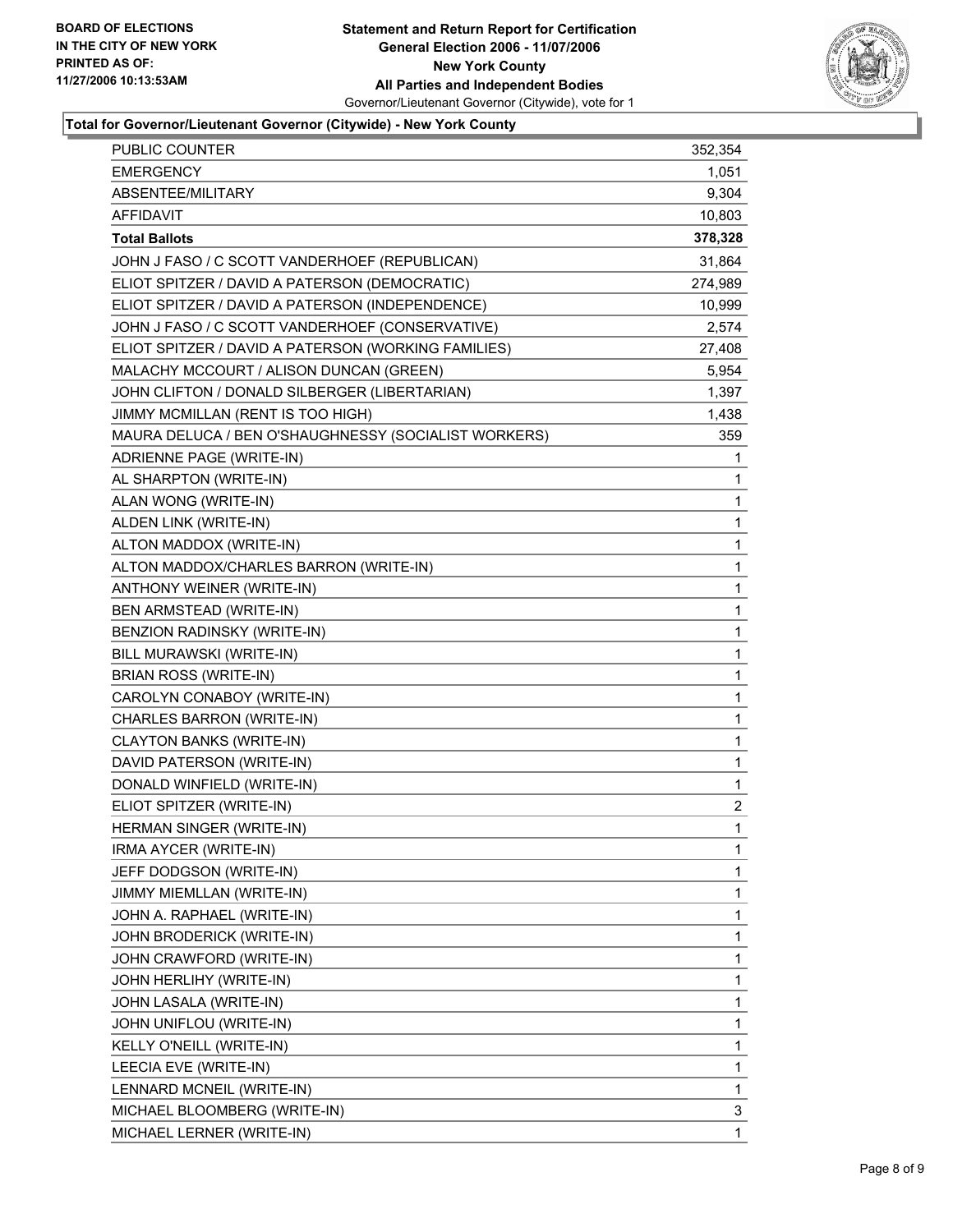

### **Total for Governor/Lieutenant Governor (Citywide) - New York County**

| <b>EMERGENCY</b><br>1,051<br>ABSENTEE/MILITARY<br>9,304<br><b>AFFIDAVIT</b><br>10,803<br><b>Total Ballots</b><br>378,328<br>JOHN J FASO / C SCOTT VANDERHOEF (REPUBLICAN)<br>31,864<br>ELIOT SPITZER / DAVID A PATERSON (DEMOCRATIC)<br>274,989<br>ELIOT SPITZER / DAVID A PATERSON (INDEPENDENCE)<br>10,999<br>JOHN J FASO / C SCOTT VANDERHOEF (CONSERVATIVE)<br>2,574<br>ELIOT SPITZER / DAVID A PATERSON (WORKING FAMILIES)<br>27,408<br>MALACHY MCCOURT / ALISON DUNCAN (GREEN)<br>5,954<br>JOHN CLIFTON / DONALD SILBERGER (LIBERTARIAN)<br>1,397<br>JIMMY MCMILLAN (RENT IS TOO HIGH)<br>1,438<br>MAURA DELUCA / BEN O'SHAUGHNESSY (SOCIALIST WORKERS)<br>359<br>ADRIENNE PAGE (WRITE-IN)<br>1<br>AL SHARPTON (WRITE-IN)<br>1<br>ALAN WONG (WRITE-IN)<br>$\mathbf{1}$<br>ALDEN LINK (WRITE-IN)<br>1<br>ALTON MADDOX (WRITE-IN)<br>1<br>ALTON MADDOX/CHARLES BARRON (WRITE-IN)<br>1<br>1<br>ANTHONY WEINER (WRITE-IN)<br>BEN ARMSTEAD (WRITE-IN)<br>$\mathbf{1}$<br>BENZION RADINSKY (WRITE-IN)<br>1<br>1<br>BILL MURAWSKI (WRITE-IN)<br>BRIAN ROSS (WRITE-IN)<br>1<br>CAROLYN CONABOY (WRITE-IN)<br>1<br>1<br>CHARLES BARRON (WRITE-IN)<br><b>CLAYTON BANKS (WRITE-IN)</b><br>1<br>1<br>DAVID PATERSON (WRITE-IN)<br>1<br>DONALD WINFIELD (WRITE-IN)<br>ELIOT SPITZER (WRITE-IN)<br>2<br>HERMAN SINGER (WRITE-IN)<br>1<br>IRMA AYCER (WRITE-IN)<br>1<br>JEFF DODGSON (WRITE-IN)<br>1<br>1<br>JIMMY MIEMLLAN (WRITE-IN)<br>1<br>JOHN A. RAPHAEL (WRITE-IN)<br>1<br>JOHN BRODERICK (WRITE-IN)<br>1<br>JOHN CRAWFORD (WRITE-IN)<br>1<br>JOHN HERLIHY (WRITE-IN)<br>1<br>JOHN LASALA (WRITE-IN)<br>1<br>JOHN UNIFLOU (WRITE-IN)<br>1<br>KELLY O'NEILL (WRITE-IN)<br>1<br>LEECIA EVE (WRITE-IN)<br>1<br>LENNARD MCNEIL (WRITE-IN)<br>3<br>MICHAEL BLOOMBERG (WRITE-IN) | PUBLIC COUNTER            | 352,354 |
|--------------------------------------------------------------------------------------------------------------------------------------------------------------------------------------------------------------------------------------------------------------------------------------------------------------------------------------------------------------------------------------------------------------------------------------------------------------------------------------------------------------------------------------------------------------------------------------------------------------------------------------------------------------------------------------------------------------------------------------------------------------------------------------------------------------------------------------------------------------------------------------------------------------------------------------------------------------------------------------------------------------------------------------------------------------------------------------------------------------------------------------------------------------------------------------------------------------------------------------------------------------------------------------------------------------------------------------------------------------------------------------------------------------------------------------------------------------------------------------------------------------------------------------------------------------------------------------------------------------------------------------------------------------------------------------------------------------------------------------------------------------------------|---------------------------|---------|
|                                                                                                                                                                                                                                                                                                                                                                                                                                                                                                                                                                                                                                                                                                                                                                                                                                                                                                                                                                                                                                                                                                                                                                                                                                                                                                                                                                                                                                                                                                                                                                                                                                                                                                                                                                          |                           |         |
|                                                                                                                                                                                                                                                                                                                                                                                                                                                                                                                                                                                                                                                                                                                                                                                                                                                                                                                                                                                                                                                                                                                                                                                                                                                                                                                                                                                                                                                                                                                                                                                                                                                                                                                                                                          |                           |         |
|                                                                                                                                                                                                                                                                                                                                                                                                                                                                                                                                                                                                                                                                                                                                                                                                                                                                                                                                                                                                                                                                                                                                                                                                                                                                                                                                                                                                                                                                                                                                                                                                                                                                                                                                                                          |                           |         |
|                                                                                                                                                                                                                                                                                                                                                                                                                                                                                                                                                                                                                                                                                                                                                                                                                                                                                                                                                                                                                                                                                                                                                                                                                                                                                                                                                                                                                                                                                                                                                                                                                                                                                                                                                                          |                           |         |
|                                                                                                                                                                                                                                                                                                                                                                                                                                                                                                                                                                                                                                                                                                                                                                                                                                                                                                                                                                                                                                                                                                                                                                                                                                                                                                                                                                                                                                                                                                                                                                                                                                                                                                                                                                          |                           |         |
|                                                                                                                                                                                                                                                                                                                                                                                                                                                                                                                                                                                                                                                                                                                                                                                                                                                                                                                                                                                                                                                                                                                                                                                                                                                                                                                                                                                                                                                                                                                                                                                                                                                                                                                                                                          |                           |         |
|                                                                                                                                                                                                                                                                                                                                                                                                                                                                                                                                                                                                                                                                                                                                                                                                                                                                                                                                                                                                                                                                                                                                                                                                                                                                                                                                                                                                                                                                                                                                                                                                                                                                                                                                                                          |                           |         |
|                                                                                                                                                                                                                                                                                                                                                                                                                                                                                                                                                                                                                                                                                                                                                                                                                                                                                                                                                                                                                                                                                                                                                                                                                                                                                                                                                                                                                                                                                                                                                                                                                                                                                                                                                                          |                           |         |
|                                                                                                                                                                                                                                                                                                                                                                                                                                                                                                                                                                                                                                                                                                                                                                                                                                                                                                                                                                                                                                                                                                                                                                                                                                                                                                                                                                                                                                                                                                                                                                                                                                                                                                                                                                          |                           |         |
|                                                                                                                                                                                                                                                                                                                                                                                                                                                                                                                                                                                                                                                                                                                                                                                                                                                                                                                                                                                                                                                                                                                                                                                                                                                                                                                                                                                                                                                                                                                                                                                                                                                                                                                                                                          |                           |         |
|                                                                                                                                                                                                                                                                                                                                                                                                                                                                                                                                                                                                                                                                                                                                                                                                                                                                                                                                                                                                                                                                                                                                                                                                                                                                                                                                                                                                                                                                                                                                                                                                                                                                                                                                                                          |                           |         |
|                                                                                                                                                                                                                                                                                                                                                                                                                                                                                                                                                                                                                                                                                                                                                                                                                                                                                                                                                                                                                                                                                                                                                                                                                                                                                                                                                                                                                                                                                                                                                                                                                                                                                                                                                                          |                           |         |
|                                                                                                                                                                                                                                                                                                                                                                                                                                                                                                                                                                                                                                                                                                                                                                                                                                                                                                                                                                                                                                                                                                                                                                                                                                                                                                                                                                                                                                                                                                                                                                                                                                                                                                                                                                          |                           |         |
|                                                                                                                                                                                                                                                                                                                                                                                                                                                                                                                                                                                                                                                                                                                                                                                                                                                                                                                                                                                                                                                                                                                                                                                                                                                                                                                                                                                                                                                                                                                                                                                                                                                                                                                                                                          |                           |         |
|                                                                                                                                                                                                                                                                                                                                                                                                                                                                                                                                                                                                                                                                                                                                                                                                                                                                                                                                                                                                                                                                                                                                                                                                                                                                                                                                                                                                                                                                                                                                                                                                                                                                                                                                                                          |                           |         |
|                                                                                                                                                                                                                                                                                                                                                                                                                                                                                                                                                                                                                                                                                                                                                                                                                                                                                                                                                                                                                                                                                                                                                                                                                                                                                                                                                                                                                                                                                                                                                                                                                                                                                                                                                                          |                           |         |
|                                                                                                                                                                                                                                                                                                                                                                                                                                                                                                                                                                                                                                                                                                                                                                                                                                                                                                                                                                                                                                                                                                                                                                                                                                                                                                                                                                                                                                                                                                                                                                                                                                                                                                                                                                          |                           |         |
|                                                                                                                                                                                                                                                                                                                                                                                                                                                                                                                                                                                                                                                                                                                                                                                                                                                                                                                                                                                                                                                                                                                                                                                                                                                                                                                                                                                                                                                                                                                                                                                                                                                                                                                                                                          |                           |         |
|                                                                                                                                                                                                                                                                                                                                                                                                                                                                                                                                                                                                                                                                                                                                                                                                                                                                                                                                                                                                                                                                                                                                                                                                                                                                                                                                                                                                                                                                                                                                                                                                                                                                                                                                                                          |                           |         |
|                                                                                                                                                                                                                                                                                                                                                                                                                                                                                                                                                                                                                                                                                                                                                                                                                                                                                                                                                                                                                                                                                                                                                                                                                                                                                                                                                                                                                                                                                                                                                                                                                                                                                                                                                                          |                           |         |
|                                                                                                                                                                                                                                                                                                                                                                                                                                                                                                                                                                                                                                                                                                                                                                                                                                                                                                                                                                                                                                                                                                                                                                                                                                                                                                                                                                                                                                                                                                                                                                                                                                                                                                                                                                          |                           |         |
|                                                                                                                                                                                                                                                                                                                                                                                                                                                                                                                                                                                                                                                                                                                                                                                                                                                                                                                                                                                                                                                                                                                                                                                                                                                                                                                                                                                                                                                                                                                                                                                                                                                                                                                                                                          |                           |         |
|                                                                                                                                                                                                                                                                                                                                                                                                                                                                                                                                                                                                                                                                                                                                                                                                                                                                                                                                                                                                                                                                                                                                                                                                                                                                                                                                                                                                                                                                                                                                                                                                                                                                                                                                                                          |                           |         |
|                                                                                                                                                                                                                                                                                                                                                                                                                                                                                                                                                                                                                                                                                                                                                                                                                                                                                                                                                                                                                                                                                                                                                                                                                                                                                                                                                                                                                                                                                                                                                                                                                                                                                                                                                                          |                           |         |
|                                                                                                                                                                                                                                                                                                                                                                                                                                                                                                                                                                                                                                                                                                                                                                                                                                                                                                                                                                                                                                                                                                                                                                                                                                                                                                                                                                                                                                                                                                                                                                                                                                                                                                                                                                          |                           |         |
|                                                                                                                                                                                                                                                                                                                                                                                                                                                                                                                                                                                                                                                                                                                                                                                                                                                                                                                                                                                                                                                                                                                                                                                                                                                                                                                                                                                                                                                                                                                                                                                                                                                                                                                                                                          |                           |         |
|                                                                                                                                                                                                                                                                                                                                                                                                                                                                                                                                                                                                                                                                                                                                                                                                                                                                                                                                                                                                                                                                                                                                                                                                                                                                                                                                                                                                                                                                                                                                                                                                                                                                                                                                                                          |                           |         |
|                                                                                                                                                                                                                                                                                                                                                                                                                                                                                                                                                                                                                                                                                                                                                                                                                                                                                                                                                                                                                                                                                                                                                                                                                                                                                                                                                                                                                                                                                                                                                                                                                                                                                                                                                                          |                           |         |
|                                                                                                                                                                                                                                                                                                                                                                                                                                                                                                                                                                                                                                                                                                                                                                                                                                                                                                                                                                                                                                                                                                                                                                                                                                                                                                                                                                                                                                                                                                                                                                                                                                                                                                                                                                          |                           |         |
|                                                                                                                                                                                                                                                                                                                                                                                                                                                                                                                                                                                                                                                                                                                                                                                                                                                                                                                                                                                                                                                                                                                                                                                                                                                                                                                                                                                                                                                                                                                                                                                                                                                                                                                                                                          |                           |         |
|                                                                                                                                                                                                                                                                                                                                                                                                                                                                                                                                                                                                                                                                                                                                                                                                                                                                                                                                                                                                                                                                                                                                                                                                                                                                                                                                                                                                                                                                                                                                                                                                                                                                                                                                                                          |                           |         |
|                                                                                                                                                                                                                                                                                                                                                                                                                                                                                                                                                                                                                                                                                                                                                                                                                                                                                                                                                                                                                                                                                                                                                                                                                                                                                                                                                                                                                                                                                                                                                                                                                                                                                                                                                                          |                           |         |
|                                                                                                                                                                                                                                                                                                                                                                                                                                                                                                                                                                                                                                                                                                                                                                                                                                                                                                                                                                                                                                                                                                                                                                                                                                                                                                                                                                                                                                                                                                                                                                                                                                                                                                                                                                          |                           |         |
|                                                                                                                                                                                                                                                                                                                                                                                                                                                                                                                                                                                                                                                                                                                                                                                                                                                                                                                                                                                                                                                                                                                                                                                                                                                                                                                                                                                                                                                                                                                                                                                                                                                                                                                                                                          |                           |         |
|                                                                                                                                                                                                                                                                                                                                                                                                                                                                                                                                                                                                                                                                                                                                                                                                                                                                                                                                                                                                                                                                                                                                                                                                                                                                                                                                                                                                                                                                                                                                                                                                                                                                                                                                                                          |                           |         |
|                                                                                                                                                                                                                                                                                                                                                                                                                                                                                                                                                                                                                                                                                                                                                                                                                                                                                                                                                                                                                                                                                                                                                                                                                                                                                                                                                                                                                                                                                                                                                                                                                                                                                                                                                                          |                           |         |
|                                                                                                                                                                                                                                                                                                                                                                                                                                                                                                                                                                                                                                                                                                                                                                                                                                                                                                                                                                                                                                                                                                                                                                                                                                                                                                                                                                                                                                                                                                                                                                                                                                                                                                                                                                          |                           |         |
|                                                                                                                                                                                                                                                                                                                                                                                                                                                                                                                                                                                                                                                                                                                                                                                                                                                                                                                                                                                                                                                                                                                                                                                                                                                                                                                                                                                                                                                                                                                                                                                                                                                                                                                                                                          |                           |         |
|                                                                                                                                                                                                                                                                                                                                                                                                                                                                                                                                                                                                                                                                                                                                                                                                                                                                                                                                                                                                                                                                                                                                                                                                                                                                                                                                                                                                                                                                                                                                                                                                                                                                                                                                                                          |                           |         |
|                                                                                                                                                                                                                                                                                                                                                                                                                                                                                                                                                                                                                                                                                                                                                                                                                                                                                                                                                                                                                                                                                                                                                                                                                                                                                                                                                                                                                                                                                                                                                                                                                                                                                                                                                                          |                           |         |
|                                                                                                                                                                                                                                                                                                                                                                                                                                                                                                                                                                                                                                                                                                                                                                                                                                                                                                                                                                                                                                                                                                                                                                                                                                                                                                                                                                                                                                                                                                                                                                                                                                                                                                                                                                          |                           |         |
|                                                                                                                                                                                                                                                                                                                                                                                                                                                                                                                                                                                                                                                                                                                                                                                                                                                                                                                                                                                                                                                                                                                                                                                                                                                                                                                                                                                                                                                                                                                                                                                                                                                                                                                                                                          |                           |         |
|                                                                                                                                                                                                                                                                                                                                                                                                                                                                                                                                                                                                                                                                                                                                                                                                                                                                                                                                                                                                                                                                                                                                                                                                                                                                                                                                                                                                                                                                                                                                                                                                                                                                                                                                                                          |                           |         |
|                                                                                                                                                                                                                                                                                                                                                                                                                                                                                                                                                                                                                                                                                                                                                                                                                                                                                                                                                                                                                                                                                                                                                                                                                                                                                                                                                                                                                                                                                                                                                                                                                                                                                                                                                                          |                           |         |
|                                                                                                                                                                                                                                                                                                                                                                                                                                                                                                                                                                                                                                                                                                                                                                                                                                                                                                                                                                                                                                                                                                                                                                                                                                                                                                                                                                                                                                                                                                                                                                                                                                                                                                                                                                          | MICHAEL LERNER (WRITE-IN) | 1       |